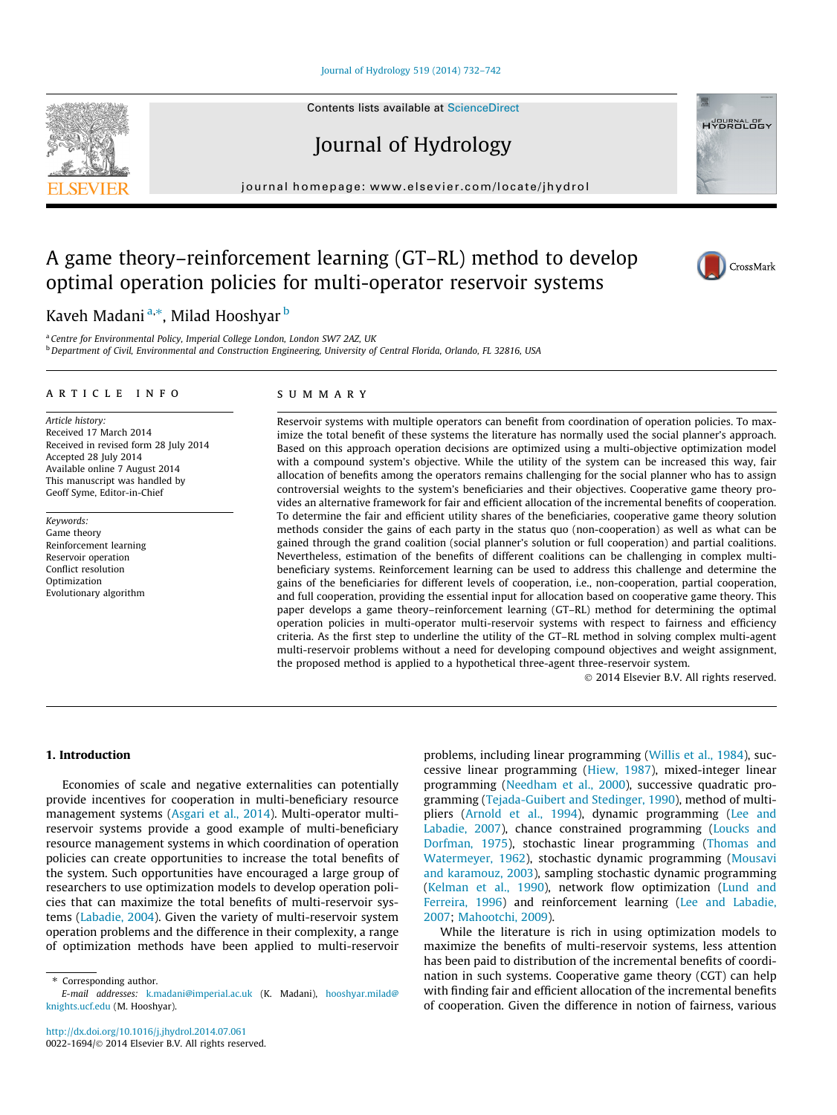## [Journal of Hydrology 519 \(2014\) 732–742](http://dx.doi.org/10.1016/j.jhydrol.2014.07.061)

Contents lists available at [ScienceDirect](http://www.sciencedirect.com/science/journal/00221694)

Journal of Hydrology

journal homepage: [www.elsevier.com/locate/jhydrol](http://www.elsevier.com/locate/jhydrol)

# A game theory–reinforcement learning (GT–RL) method to develop optimal operation policies for multi-operator reservoir systems

Kaveh Madani <sup>a,</sup>\*, Milad Hooshyar <sup>b</sup>

<sup>a</sup> Centre for Environmental Policy, Imperial College London, London SW7 2AZ, UK <sup>b</sup> Department of Civil, Environmental and Construction Engineering, University of Central Florida, Orlando, FL 32816, USA

#### article info

Article history: Received 17 March 2014 Received in revised form 28 July 2014 Accepted 28 July 2014 Available online 7 August 2014 This manuscript was handled by Geoff Syme, Editor-in-Chief

Keywords: Game theory Reinforcement learning Reservoir operation Conflict resolution Optimization Evolutionary algorithm

## SUMMARY

Reservoir systems with multiple operators can benefit from coordination of operation policies. To maximize the total benefit of these systems the literature has normally used the social planner's approach. Based on this approach operation decisions are optimized using a multi-objective optimization model with a compound system's objective. While the utility of the system can be increased this way, fair allocation of benefits among the operators remains challenging for the social planner who has to assign controversial weights to the system's beneficiaries and their objectives. Cooperative game theory provides an alternative framework for fair and efficient allocation of the incremental benefits of cooperation. To determine the fair and efficient utility shares of the beneficiaries, cooperative game theory solution methods consider the gains of each party in the status quo (non-cooperation) as well as what can be gained through the grand coalition (social planner's solution or full cooperation) and partial coalitions. Nevertheless, estimation of the benefits of different coalitions can be challenging in complex multibeneficiary systems. Reinforcement learning can be used to address this challenge and determine the gains of the beneficiaries for different levels of cooperation, i.e., non-cooperation, partial cooperation, and full cooperation, providing the essential input for allocation based on cooperative game theory. This paper develops a game theory–reinforcement learning (GT–RL) method for determining the optimal operation policies in multi-operator multi-reservoir systems with respect to fairness and efficiency criteria. As the first step to underline the utility of the GT–RL method in solving complex multi-agent multi-reservoir problems without a need for developing compound objectives and weight assignment, the proposed method is applied to a hypothetical three-agent three-reservoir system.

- 2014 Elsevier B.V. All rights reserved.

## 1. Introduction

Economies of scale and negative externalities can potentially provide incentives for cooperation in multi-beneficiary resource management systems [\(Asgari et al., 2014](#page-10-0)). Multi-operator multireservoir systems provide a good example of multi-beneficiary resource management systems in which coordination of operation policies can create opportunities to increase the total benefits of the system. Such opportunities have encouraged a large group of researchers to use optimization models to develop operation policies that can maximize the total benefits of multi-reservoir systems [\(Labadie, 2004\)](#page-10-0). Given the variety of multi-reservoir system operation problems and the difference in their complexity, a range of optimization methods have been applied to multi-reservoir problems, including linear programming [\(Willis et al., 1984](#page-10-0)), successive linear programming [\(Hiew, 1987\)](#page-10-0), mixed-integer linear programming [\(Needham et al., 2000](#page-10-0)), successive quadratic programming [\(Tejada-Guibert and Stedinger, 1990](#page-10-0)), method of multipliers [\(Arnold et al., 1994](#page-10-0)), dynamic programming [\(Lee and](#page-10-0) [Labadie, 2007\)](#page-10-0), chance constrained programming ([Loucks and](#page-10-0) [Dorfman, 1975\)](#page-10-0), stochastic linear programming [\(Thomas and](#page-10-0) [Watermeyer, 1962](#page-10-0)), stochastic dynamic programming ([Mousavi](#page-10-0) [and karamouz, 2003\)](#page-10-0), sampling stochastic dynamic programming ([Kelman et al., 1990](#page-10-0)), network flow optimization [\(Lund and](#page-10-0) [Ferreira, 1996\)](#page-10-0) and reinforcement learning [\(Lee and Labadie,](#page-10-0) [2007;](#page-10-0) [Mahootchi, 2009\)](#page-10-0).

While the literature is rich in using optimization models to maximize the benefits of multi-reservoir systems, less attention has been paid to distribution of the incremental benefits of coordination in such systems. Cooperative game theory (CGT) can help with finding fair and efficient allocation of the incremental benefits of cooperation. Given the difference in notion of fairness, various







<sup>⇑</sup> Corresponding author.

E-mail addresses: [k.madani@imperial.ac.uk](mailto:k.madani@imperial.ac.uk) (K. Madani), [hooshyar.milad@](mailto:hooshyar.milad@knights.ucf.edu) [knights.ucf.edu](mailto:hooshyar.milad@knights.ucf.edu) (M. Hooshyar).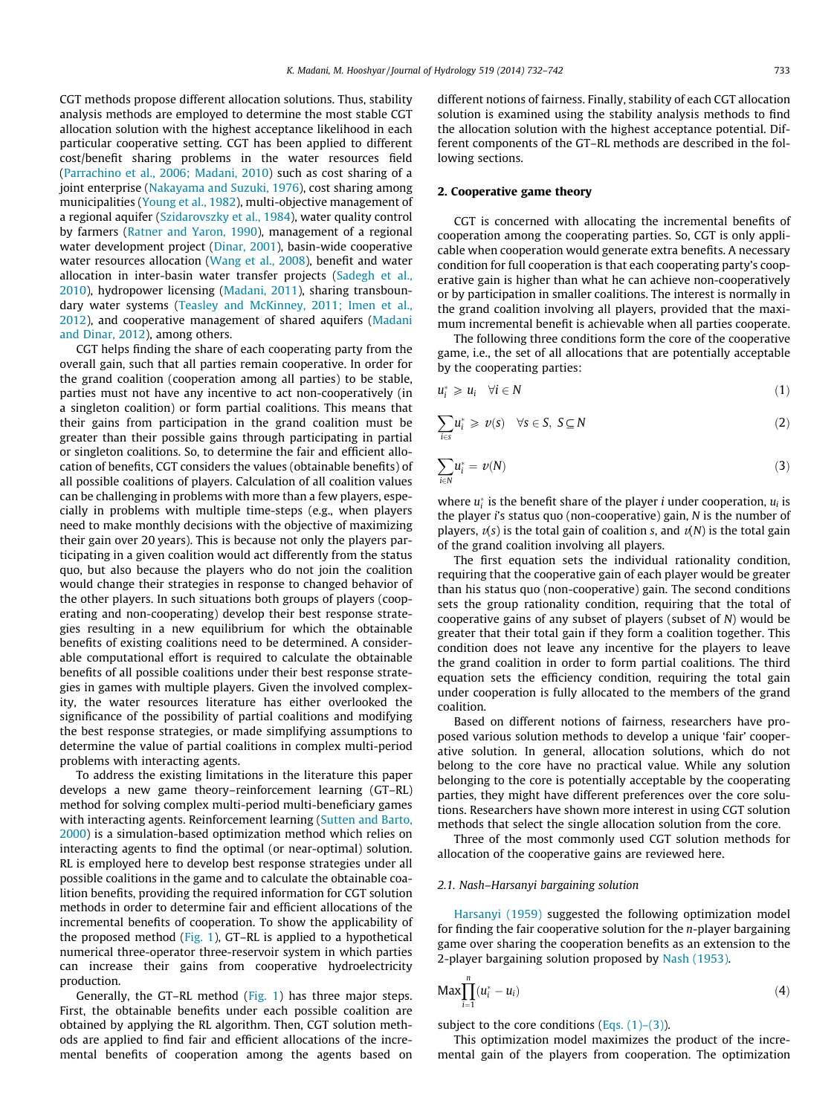<span id="page-1-0"></span>CGT methods propose different allocation solutions. Thus, stability analysis methods are employed to determine the most stable CGT allocation solution with the highest acceptance likelihood in each particular cooperative setting. CGT has been applied to different cost/benefit sharing problems in the water resources field ([Parrachino et al., 2006; Madani, 2010](#page-10-0)) such as cost sharing of a joint enterprise [\(Nakayama and Suzuki, 1976\)](#page-10-0), cost sharing among municipalities [\(Young et al., 1982\)](#page-10-0), multi-objective management of a regional aquifer [\(Szidarovszky et al., 1984\)](#page-10-0), water quality control by farmers ([Ratner and Yaron, 1990](#page-10-0)), management of a regional water development project [\(Dinar, 2001\)](#page-10-0), basin-wide cooperative water resources allocation [\(Wang et al., 2008](#page-10-0)), benefit and water allocation in inter-basin water transfer projects ([Sadegh et al.,](#page-10-0) [2010](#page-10-0)), hydropower licensing [\(Madani, 2011](#page-10-0)), sharing transboundary water systems [\(Teasley and McKinney, 2011; Imen et al.,](#page-10-0) [2012\)](#page-10-0), and cooperative management of shared aquifers [\(Madani](#page-10-0) [and Dinar, 2012\)](#page-10-0), among others.

CGT helps finding the share of each cooperating party from the overall gain, such that all parties remain cooperative. In order for the grand coalition (cooperation among all parties) to be stable, parties must not have any incentive to act non-cooperatively (in a singleton coalition) or form partial coalitions. This means that their gains from participation in the grand coalition must be greater than their possible gains through participating in partial or singleton coalitions. So, to determine the fair and efficient allocation of benefits, CGT considers the values (obtainable benefits) of all possible coalitions of players. Calculation of all coalition values can be challenging in problems with more than a few players, especially in problems with multiple time-steps (e.g., when players need to make monthly decisions with the objective of maximizing their gain over 20 years). This is because not only the players participating in a given coalition would act differently from the status quo, but also because the players who do not join the coalition would change their strategies in response to changed behavior of the other players. In such situations both groups of players (cooperating and non-cooperating) develop their best response strategies resulting in a new equilibrium for which the obtainable benefits of existing coalitions need to be determined. A considerable computational effort is required to calculate the obtainable benefits of all possible coalitions under their best response strategies in games with multiple players. Given the involved complexity, the water resources literature has either overlooked the significance of the possibility of partial coalitions and modifying the best response strategies, or made simplifying assumptions to determine the value of partial coalitions in complex multi-period problems with interacting agents.

To address the existing limitations in the literature this paper develops a new game theory–reinforcement learning (GT–RL) method for solving complex multi-period multi-beneficiary games with interacting agents. Reinforcement learning [\(Sutten and Barto,](#page-10-0) [2000](#page-10-0)) is a simulation-based optimization method which relies on interacting agents to find the optimal (or near-optimal) solution. RL is employed here to develop best response strategies under all possible coalitions in the game and to calculate the obtainable coalition benefits, providing the required information for CGT solution methods in order to determine fair and efficient allocations of the incremental benefits of cooperation. To show the applicability of the proposed method [\(Fig. 1](#page-2-0)), GT–RL is applied to a hypothetical numerical three-operator three-reservoir system in which parties can increase their gains from cooperative hydroelectricity production.

Generally, the GT–RL method ([Fig. 1\)](#page-2-0) has three major steps. First, the obtainable benefits under each possible coalition are obtained by applying the RL algorithm. Then, CGT solution methods are applied to find fair and efficient allocations of the incremental benefits of cooperation among the agents based on different notions of fairness. Finally, stability of each CGT allocation solution is examined using the stability analysis methods to find the allocation solution with the highest acceptance potential. Different components of the GT–RL methods are described in the following sections.

#### 2. Cooperative game theory

CGT is concerned with allocating the incremental benefits of cooperation among the cooperating parties. So, CGT is only applicable when cooperation would generate extra benefits. A necessary condition for full cooperation is that each cooperating party's cooperative gain is higher than what he can achieve non-cooperatively or by participation in smaller coalitions. The interest is normally in the grand coalition involving all players, provided that the maximum incremental benefit is achievable when all parties cooperate.

The following three conditions form the core of the cooperative game, i.e., the set of all allocations that are potentially acceptable by the cooperating parties:

$$
u_i^* \geq u_i \quad \forall i \in \mathbb{N} \tag{1}
$$

$$
\sum_{i \in S} u_i^* \geq v(s) \quad \forall s \in S, \ S \subseteq N \tag{2}
$$

$$
\sum_{i \in N} u_i^* = v(N) \tag{3}
$$

where  $u_i^*$  is the benefit share of the player *i* under cooperation,  $u_i$  is the player i's status quo (non-cooperative) gain, N is the number of players,  $v(s)$  is the total gain of coalition s, and  $v(N)$  is the total gain of the grand coalition involving all players.

The first equation sets the individual rationality condition, requiring that the cooperative gain of each player would be greater than his status quo (non-cooperative) gain. The second conditions sets the group rationality condition, requiring that the total of cooperative gains of any subset of players (subset of N) would be greater that their total gain if they form a coalition together. This condition does not leave any incentive for the players to leave the grand coalition in order to form partial coalitions. The third equation sets the efficiency condition, requiring the total gain under cooperation is fully allocated to the members of the grand coalition.

Based on different notions of fairness, researchers have proposed various solution methods to develop a unique 'fair' cooperative solution. In general, allocation solutions, which do not belong to the core have no practical value. While any solution belonging to the core is potentially acceptable by the cooperating parties, they might have different preferences over the core solutions. Researchers have shown more interest in using CGT solution methods that select the single allocation solution from the core.

Three of the most commonly used CGT solution methods for allocation of the cooperative gains are reviewed here.

## 2.1. Nash–Harsanyi bargaining solution

[Harsanyi \(1959\)](#page-10-0) suggested the following optimization model for finding the fair cooperative solution for the n-player bargaining game over sharing the cooperation benefits as an extension to the 2-player bargaining solution proposed by [Nash \(1953\)](#page-10-0).

$$
\text{Max} \prod_{i=1}^{n} (u_i^* - u_i) \tag{4}
$$

subject to the core conditions (Eqs.  $(1)$ – $(3)$ ).

This optimization model maximizes the product of the incremental gain of the players from cooperation. The optimization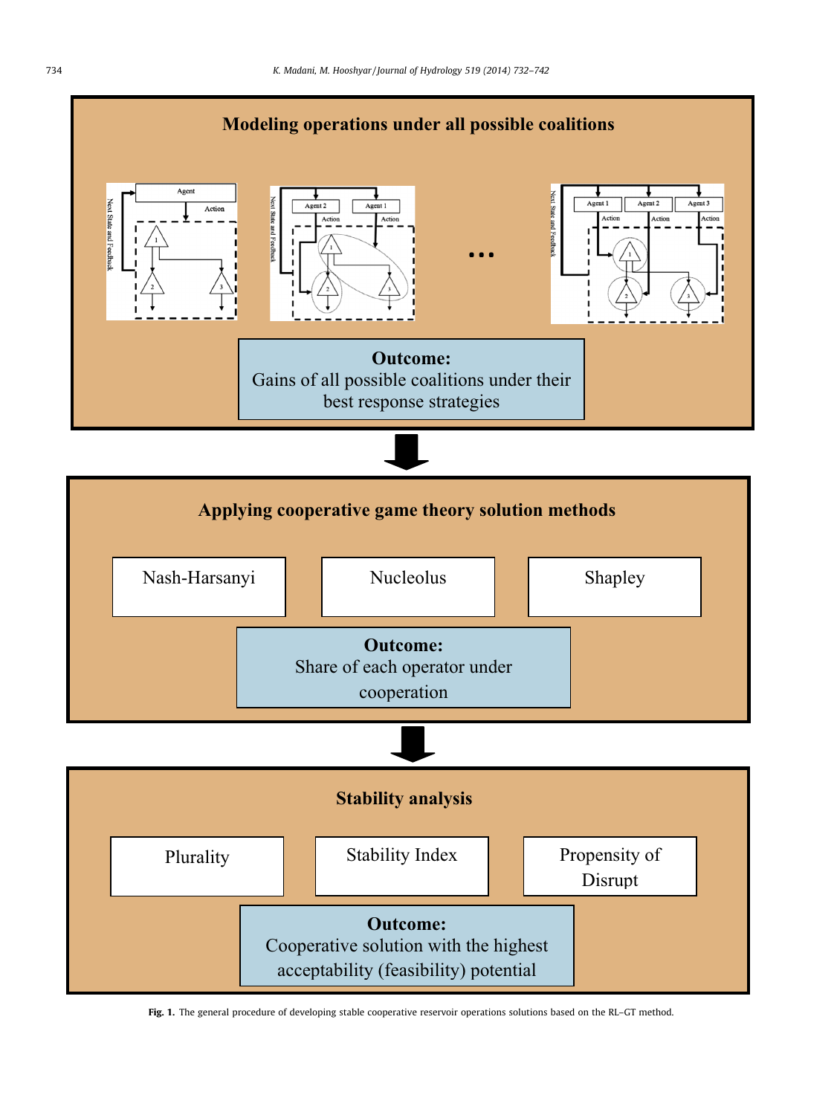<span id="page-2-0"></span>

Fig. 1. The general procedure of developing stable cooperative reservoir operations solutions based on the RL-GT method.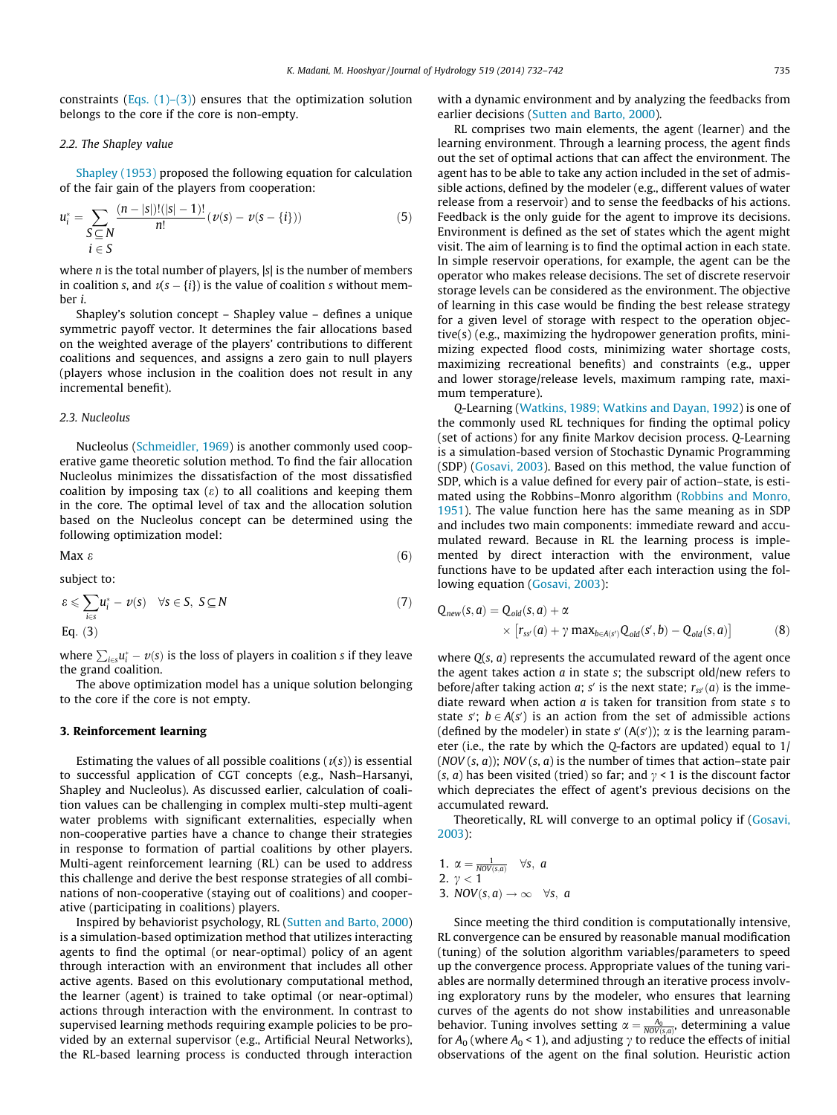constraints (Eqs.  $(1)$ – $(3)$ ) ensures that the optimization solution belongs to the core if the core is non-empty.

#### 2.2. The Shapley value

[Shapley \(1953\)](#page-10-0) proposed the following equation for calculation of the fair gain of the players from cooperation:

$$
u_i^* = \sum_{\substack{S \subseteq N}} \frac{(n-|S|)!(|S|-1)!}{n!} (\nu(s) - \nu(s - \{i\}))
$$
(5)  
 $i \in S$ 

where  $n$  is the total number of players,  $|s|$  is the number of members in coalition s, and  $v(s - {i})$  is the value of coalition s without member i.

Shapley's solution concept – Shapley value – defines a unique symmetric payoff vector. It determines the fair allocations based on the weighted average of the players' contributions to different coalitions and sequences, and assigns a zero gain to null players (players whose inclusion in the coalition does not result in any incremental benefit).

#### 2.3. Nucleolus

Nucleolus [\(Schmeidler, 1969\)](#page-10-0) is another commonly used cooperative game theoretic solution method. To find the fair allocation Nucleolus minimizes the dissatisfaction of the most dissatisfied coalition by imposing tax  $(\varepsilon)$  to all coalitions and keeping them in the core. The optimal level of tax and the allocation solution based on the Nucleolus concept can be determined using the following optimization model:

$$
\mathsf{Max}\ \varepsilon \tag{6}
$$

subject to:

$$
\varepsilon \leqslant \sum_{i \in S} u_i^* - v(s) \quad \forall s \in S, \ S \subseteq N
$$
\nEq. (3)

where  $\sum_{i\in s}u_i^* - v(s)$  is the loss of players in coalition s if they leave the grand coalition.

The above optimization model has a unique solution belonging to the core if the core is not empty.

#### 3. Reinforcement learning

Estimating the values of all possible coalitions  $(v(s))$  is essential to successful application of CGT concepts (e.g., Nash–Harsanyi, Shapley and Nucleolus). As discussed earlier, calculation of coalition values can be challenging in complex multi-step multi-agent water problems with significant externalities, especially when non-cooperative parties have a chance to change their strategies in response to formation of partial coalitions by other players. Multi-agent reinforcement learning (RL) can be used to address this challenge and derive the best response strategies of all combinations of non-cooperative (staying out of coalitions) and cooperative (participating in coalitions) players.

Inspired by behaviorist psychology, RL [\(Sutten and Barto, 2000\)](#page-10-0) is a simulation-based optimization method that utilizes interacting agents to find the optimal (or near-optimal) policy of an agent through interaction with an environment that includes all other active agents. Based on this evolutionary computational method, the learner (agent) is trained to take optimal (or near-optimal) actions through interaction with the environment. In contrast to supervised learning methods requiring example policies to be provided by an external supervisor (e.g., Artificial Neural Networks), the RL-based learning process is conducted through interaction with a dynamic environment and by analyzing the feedbacks from earlier decisions ([Sutten and Barto, 2000](#page-10-0)).

RL comprises two main elements, the agent (learner) and the learning environment. Through a learning process, the agent finds out the set of optimal actions that can affect the environment. The agent has to be able to take any action included in the set of admissible actions, defined by the modeler (e.g., different values of water release from a reservoir) and to sense the feedbacks of his actions. Feedback is the only guide for the agent to improve its decisions. Environment is defined as the set of states which the agent might visit. The aim of learning is to find the optimal action in each state. In simple reservoir operations, for example, the agent can be the operator who makes release decisions. The set of discrete reservoir storage levels can be considered as the environment. The objective of learning in this case would be finding the best release strategy for a given level of storage with respect to the operation objective(s) (e.g., maximizing the hydropower generation profits, minimizing expected flood costs, minimizing water shortage costs, maximizing recreational benefits) and constraints (e.g., upper and lower storage/release levels, maximum ramping rate, maximum temperature).

Q-Learning ([Watkins, 1989; Watkins and Dayan, 1992\)](#page-10-0) is one of the commonly used RL techniques for finding the optimal policy (set of actions) for any finite Markov decision process. Q-Learning is a simulation-based version of Stochastic Dynamic Programming (SDP) [\(Gosavi, 2003\)](#page-10-0). Based on this method, the value function of SDP, which is a value defined for every pair of action–state, is estimated using the Robbins–Monro algorithm ([Robbins and Monro,](#page-10-0) [1951\)](#page-10-0). The value function here has the same meaning as in SDP and includes two main components: immediate reward and accumulated reward. Because in RL the learning process is implemented by direct interaction with the environment, value functions have to be updated after each interaction using the following equation ([Gosavi, 2003\)](#page-10-0):

$$
Q_{new}(s, a) = Q_{old}(s, a) + \alpha
$$
  
 
$$
\times [r_{ss'}(a) + \gamma \max_{b \in A(s')} Q_{old}(s', b) - Q_{old}(s, a)]
$$
 (8)

where  $Q(s, a)$  represents the accumulated reward of the agent once the agent takes action  $a$  in state s; the subscript old/new refers to before/after taking action a; s' is the next state;  $r_{ss}(a)$  is the immediate reward when action  $a$  is taken for transition from state  $s$  to state  $s'$ ;  $b \in A(s')$  is an action from the set of admissible actions (defined by the modeler) in state s'  $(A(s'))$ ;  $\alpha$  is the learning parameter (i.e., the rate by which the Q-factors are updated) equal to  $1/$  $(NOV(s, a))$ ; NOV $(s, a)$  is the number of times that action–state pair (s, a) has been visited (tried) so far; and  $\gamma$  < 1 is the discount factor which depreciates the effect of agent's previous decisions on the accumulated reward.

Theoretically, RL will converge to an optimal policy if ([Gosavi,](#page-10-0) [2003](#page-10-0)):

1. 
$$
\alpha = \frac{1}{\text{NOV}(s,a)}
$$
  $\forall s, a$   
2.  $\gamma < 1$   
3. NOV(s, a)  $\rightarrow \infty$   $\forall s, a$ 

Since meeting the third condition is computationally intensive, RL convergence can be ensured by reasonable manual modification (tuning) of the solution algorithm variables/parameters to speed up the convergence process. Appropriate values of the tuning variables are normally determined through an iterative process involving exploratory runs by the modeler, who ensures that learning curves of the agents do not show instabilities and unreasonable behavior. Tuning involves setting  $\alpha = \frac{A_0}{NOV(s,a)}$ , determining a value for  $A_0$  (where  $A_0$  < 1), and adjusting  $\gamma$  to reduce the effects of initial observations of the agent on the final solution. Heuristic action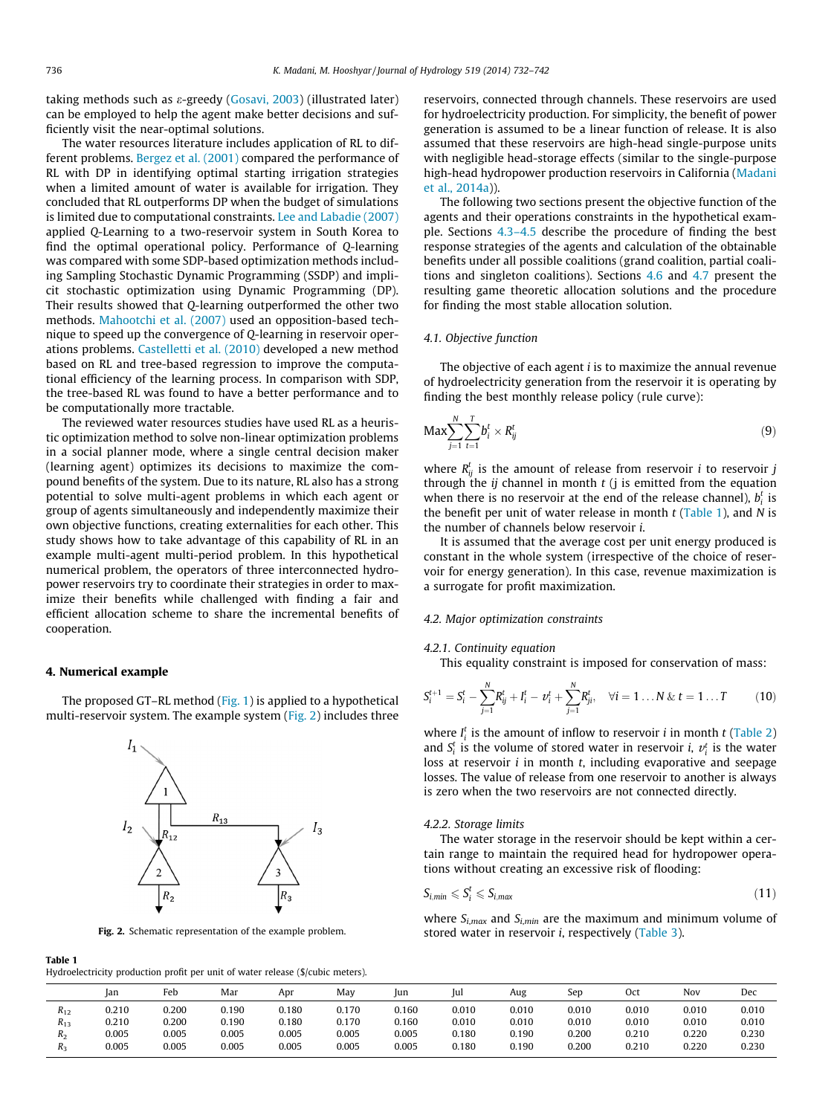taking methods such as e-greedy [\(Gosavi, 2003\)](#page-10-0) (illustrated later) can be employed to help the agent make better decisions and sufficiently visit the near-optimal solutions.

The water resources literature includes application of RL to different problems. [Bergez et al. \(2001\)](#page-10-0) compared the performance of RL with DP in identifying optimal starting irrigation strategies when a limited amount of water is available for irrigation. They concluded that RL outperforms DP when the budget of simulations is limited due to computational constraints. [Lee and Labadie \(2007\)](#page-10-0) applied Q-Learning to a two-reservoir system in South Korea to find the optimal operational policy. Performance of Q-learning was compared with some SDP-based optimization methods including Sampling Stochastic Dynamic Programming (SSDP) and implicit stochastic optimization using Dynamic Programming (DP). Their results showed that Q-learning outperformed the other two methods. [Mahootchi et al. \(2007\)](#page-10-0) used an opposition-based technique to speed up the convergence of Q-learning in reservoir operations problems. [Castelletti et al. \(2010\)](#page-10-0) developed a new method based on RL and tree-based regression to improve the computational efficiency of the learning process. In comparison with SDP, the tree-based RL was found to have a better performance and to be computationally more tractable.

The reviewed water resources studies have used RL as a heuristic optimization method to solve non-linear optimization problems in a social planner mode, where a single central decision maker (learning agent) optimizes its decisions to maximize the compound benefits of the system. Due to its nature, RL also has a strong potential to solve multi-agent problems in which each agent or group of agents simultaneously and independently maximize their own objective functions, creating externalities for each other. This study shows how to take advantage of this capability of RL in an example multi-agent multi-period problem. In this hypothetical numerical problem, the operators of three interconnected hydropower reservoirs try to coordinate their strategies in order to maximize their benefits while challenged with finding a fair and efficient allocation scheme to share the incremental benefits of cooperation.

## 4. Numerical example

The proposed GT–RL method ([Fig. 1\)](#page-2-0) is applied to a hypothetical multi-reservoir system. The example system (Fig. 2) includes three

## Table 1

Hydroelectricity production profit per unit of water release (\$/cubic meters).

reservoirs, connected through channels. These reservoirs are used for hydroelectricity production. For simplicity, the benefit of power generation is assumed to be a linear function of release. It is also assumed that these reservoirs are high-head single-purpose units with negligible head-storage effects (similar to the single-purpose high-head hydropower production reservoirs in California [\(Madani](#page-10-0) [et al., 2014a](#page-10-0))).

The following two sections present the objective function of the agents and their operations constraints in the hypothetical example. Sections [4.3–4.5](#page-5-0) describe the procedure of finding the best response strategies of the agents and calculation of the obtainable benefits under all possible coalitions (grand coalition, partial coalitions and singleton coalitions). Sections [4.6](#page-8-0) and [4.7](#page-8-0) present the resulting game theoretic allocation solutions and the procedure for finding the most stable allocation solution.

# 4.1. Objective function

The objective of each agent  $i$  is to maximize the annual revenue of hydroelectricity generation from the reservoir it is operating by finding the best monthly release policy (rule curve):

$$
\text{Max} \sum_{j=1}^{N} \sum_{t=1}^{T} b_i^t \times R_{ij}^t \tag{9}
$$

where  $R_{ij}^t$  is the amount of release from reservoir *i* to reservoir *j* through the *ij* channel in month  $t$  (*j* is emitted from the equation when there is no reservoir at the end of the release channel),  $b_i^t$  is the benefit per unit of water release in month  $t$  (Table 1), and  $N$  is the number of channels below reservoir i.

It is assumed that the average cost per unit energy produced is constant in the whole system (irrespective of the choice of reservoir for energy generation). In this case, revenue maximization is a surrogate for profit maximization.

#### 4.2. Major optimization constraints

#### 4.2.1. Continuity equation

This equality constraint is imposed for conservation of mass:

$$
S_i^{t+1} = S_i^t - \sum_{j=1}^N R_{ij}^t + I_i^t - \nu_i^t + \sum_{j=1}^N R_{ji}^t, \quad \forall i = 1...N \& t = 1...T \tag{10}
$$

where  $I_i^t$  is the amount of inflow to reservoir *i* in month *t* [\(Table 2\)](#page-5-0) and  $S_i^t$  is the volume of stored water in reservoir *i*,  $v_i^t$  is the water loss at reservoir  $i$  in month  $t$ , including evaporative and seepage losses. The value of release from one reservoir to another is always is zero when the two reservoirs are not connected directly.

#### 4.2.2. Storage limits

The water storage in the reservoir should be kept within a certain range to maintain the required head for hydropower operations without creating an excessive risk of flooding:

$$
S_{i,min} \leqslant S_i^t \leqslant S_{i,max} \tag{11}
$$

where  $S_{i,max}$  and  $S_{i,min}$  are the maximum and minimum volume of Fig. 2. Schematic representation of the example problem. Stored water in reservoir i, respectively [\(Table 3](#page-5-0)).

|          | Jan   | Feb   | Mar   | Apr   | May   | lun   | Jul   | Aug   | Sep   | Oct   | Nov   | Dec   |
|----------|-------|-------|-------|-------|-------|-------|-------|-------|-------|-------|-------|-------|
| $R_{12}$ | 0.210 | 0.200 | 0.190 | 0.180 | 0.170 | 0.160 | 0.010 | 0.010 | 0.010 | 0.010 | 0.010 | 0.010 |
| $R_{13}$ | 0.210 | 0.200 | 0.190 | 0.180 | 0.170 | 0.160 | 0.010 | 0.010 | 0.010 | 0.010 | 0.010 | 0.010 |
| $R_2$    | 0.005 | 0.005 | 0.005 | 0.005 | 0.005 | 0.005 | 0.180 | 0.190 | 0.200 | 0.210 | 0.220 | 0.230 |
| $R_{3}$  | 0.005 | 0.005 | 0.005 | 0.005 | 0.005 | 0.005 | 0.180 | 0.190 | 0.200 | 0.210 | 0.220 | 0.230 |

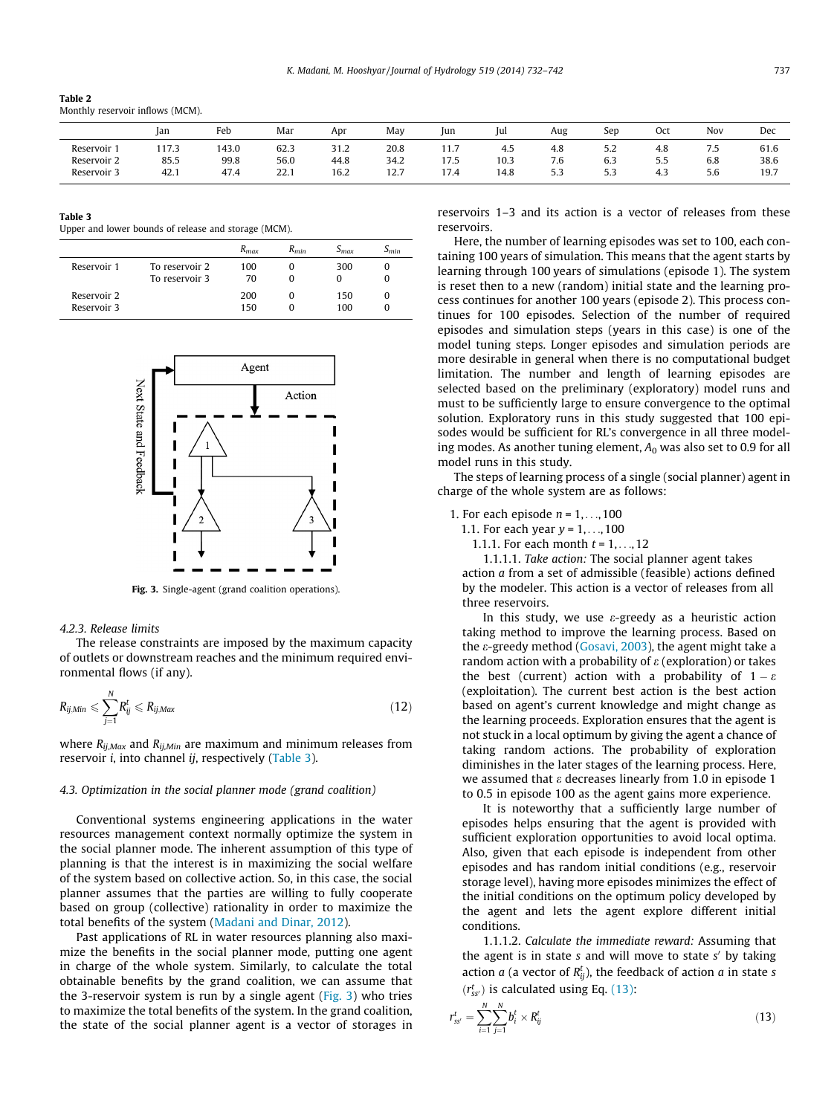<span id="page-5-0"></span>

| Table 2                          |  |
|----------------------------------|--|
| Monthly reservoir inflows (MCM). |  |

|             | Jan   | Feb       | Mar<br>the contract of the contract of | Apr  | May  | lun  | Jul       | Aug                  | Sep            | Oct       | Nov        | Dec  |
|-------------|-------|-----------|----------------------------------------|------|------|------|-----------|----------------------|----------------|-----------|------------|------|
| Reservoir   | 117.3 | 143.0     | 62.3                                   | 31.2 | 20.8 | 11.7 | 4.5       | 4.8                  | ے.ر            | 4.8       | - -<br>ر., | 61.6 |
| Reservoir 2 | 85.5  | 99.8<br>. | 56.0                                   | 44.8 | 34.2 | 17.5 | 10.3<br>. | $\sim$ $\sim$<br>7.6 | 6.3            | 55<br>ر.ر | 6.8<br>.   | 38.6 |
| Reservoir 3 | 42.1  | 47.4      | 221<br>zz.i                            | 16.2 | 12.7 | 17.4 | 14.8      |                      | $ \sim$<br>5.3 | 4.3       | 5.b        | 19.7 |

## Table 3

Upper and lower bounds of release and storage (MCM).

|                            |                                  | $R_{max}$  | $R_{min}$ | $5_{max}$       | ) min |
|----------------------------|----------------------------------|------------|-----------|-----------------|-------|
| Reservoir 1                | To reservoir 2<br>To reservoir 3 | 100<br>70  |           | 300<br>$^{(1)}$ |       |
| Reservoir 2<br>Reservoir 3 |                                  | 200<br>150 |           | 150<br>100      |       |



Fig. 3. Single-agent (grand coalition operations).

#### 4.2.3. Release limits

The release constraints are imposed by the maximum capacity of outlets or downstream reaches and the minimum required environmental flows (if any).

$$
R_{ij,Min} \leqslant \sum_{j=1}^{N} R_{ij}^{t} \leqslant R_{ij,Max} \tag{12}
$$

where  $R_{ij,Max}$  and  $R_{ij,Min}$  are maximum and minimum releases from reservoir i, into channel ij, respectively (Table 3).

#### 4.3. Optimization in the social planner mode (grand coalition)

Conventional systems engineering applications in the water resources management context normally optimize the system in the social planner mode. The inherent assumption of this type of planning is that the interest is in maximizing the social welfare of the system based on collective action. So, in this case, the social planner assumes that the parties are willing to fully cooperate based on group (collective) rationality in order to maximize the total benefits of the system ([Madani and Dinar, 2012\)](#page-10-0).

Past applications of RL in water resources planning also maximize the benefits in the social planner mode, putting one agent in charge of the whole system. Similarly, to calculate the total obtainable benefits by the grand coalition, we can assume that the 3-reservoir system is run by a single agent (Fig. 3) who tries to maximize the total benefits of the system. In the grand coalition, the state of the social planner agent is a vector of storages in reservoirs 1–3 and its action is a vector of releases from these reservoirs.

Here, the number of learning episodes was set to 100, each containing 100 years of simulation. This means that the agent starts by learning through 100 years of simulations (episode 1). The system is reset then to a new (random) initial state and the learning process continues for another 100 years (episode 2). This process continues for 100 episodes. Selection of the number of required episodes and simulation steps (years in this case) is one of the model tuning steps. Longer episodes and simulation periods are more desirable in general when there is no computational budget limitation. The number and length of learning episodes are selected based on the preliminary (exploratory) model runs and must to be sufficiently large to ensure convergence to the optimal solution. Exploratory runs in this study suggested that 100 episodes would be sufficient for RL's convergence in all three modeling modes. As another tuning element,  $A_0$  was also set to 0.9 for all model runs in this study.

The steps of learning process of a single (social planner) agent in charge of the whole system are as follows:

- 1. For each episode  $n = 1, \ldots, 100$ 
	- 1.1. For each year  $y = 1, ..., 100$ 
		- 1.1.1. For each month  $t = 1, ..., 12$

1.1.1.1. Take action: The social planner agent takes action a from a set of admissible (feasible) actions defined by the modeler. This action is a vector of releases from all three reservoirs.

In this study, we use  $\varepsilon$ -greedy as a heuristic action taking method to improve the learning process. Based on the  $\varepsilon$ -greedy method ([Gosavi, 2003\)](#page-10-0), the agent might take a random action with a probability of  $\varepsilon$  (exploration) or takes the best (current) action with a probability of  $1 - \varepsilon$ (exploitation). The current best action is the best action based on agent's current knowledge and might change as the learning proceeds. Exploration ensures that the agent is not stuck in a local optimum by giving the agent a chance of taking random actions. The probability of exploration diminishes in the later stages of the learning process. Here, we assumed that  $\varepsilon$  decreases linearly from 1.0 in episode 1 to 0.5 in episode 100 as the agent gains more experience.

It is noteworthy that a sufficiently large number of episodes helps ensuring that the agent is provided with sufficient exploration opportunities to avoid local optima. Also, given that each episode is independent from other episodes and has random initial conditions (e.g., reservoir storage level), having more episodes minimizes the effect of the initial conditions on the optimum policy developed by the agent and lets the agent explore different initial conditions.

1.1.1.2. Calculate the immediate reward: Assuming that the agent is in state  $s$  and will move to state  $s'$  by taking action *a* (a vector of  $R_{ij}^t$ ), the feedback of action *a* in state *s*  $(r_{ss}^t)$  is calculated using Eq. (13):

$$
r_{ss'}^t = \sum_{i=1}^N \sum_{j=1}^N b_i^t \times R_{ij}^t
$$
\n(13)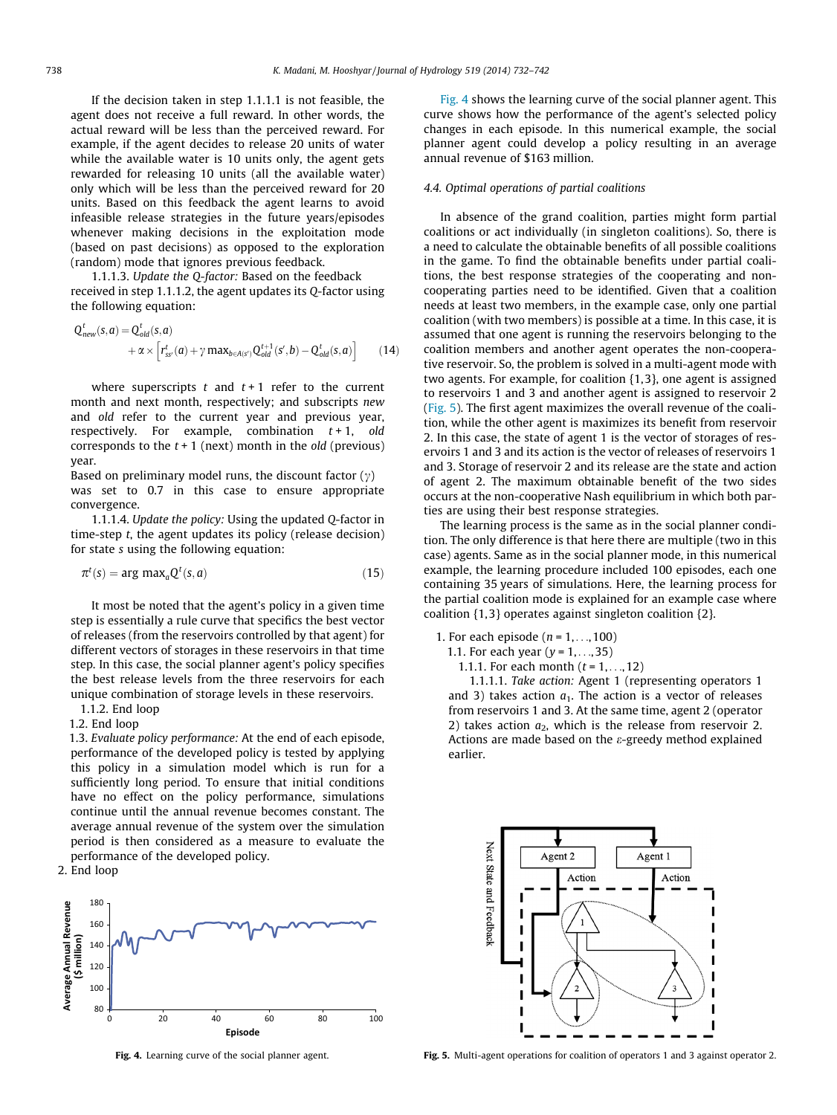<span id="page-6-0"></span>If the decision taken in step 1.1.1.1 is not feasible, the agent does not receive a full reward. In other words, the actual reward will be less than the perceived reward. For example, if the agent decides to release 20 units of water while the available water is 10 units only, the agent gets rewarded for releasing 10 units (all the available water) only which will be less than the perceived reward for 20 units. Based on this feedback the agent learns to avoid infeasible release strategies in the future years/episodes whenever making decisions in the exploitation mode (based on past decisions) as opposed to the exploration (random) mode that ignores previous feedback.

1.1.1.3. Update the Q-factor: Based on the feedback received in step 1.1.1.2, the agent updates its Q-factor using the following equation:

$$
Q_{new}^{t}(s, a) = Q_{old}^{t}(s, a)
$$
  
 
$$
+ \alpha \times \left[r_{ss}^{t'}(a) + \gamma \max_{b \in A(s')} Q_{old}^{t+1}(s', b) - Q_{old}^{t}(s, a)\right]
$$
 (14)

where superscripts  $t$  and  $t+1$  refer to the current month and next month, respectively; and subscripts new and old refer to the current year and previous year, respectively. For example, combination  $t + 1$ , old corresponds to the  $t + 1$  (next) month in the *old* (previous) year.

Based on preliminary model runs, the discount factor  $(\gamma)$ was set to 0.7 in this case to ensure appropriate convergence.

1.1.1.4. Update the policy: Using the updated Q-factor in time-step t, the agent updates its policy (release decision) for state s using the following equation:

$$
\pi^t(s) = \arg \max_a Q^t(s, a) \tag{15}
$$

It most be noted that the agent's policy in a given time step is essentially a rule curve that specifics the best vector of releases (from the reservoirs controlled by that agent) for different vectors of storages in these reservoirs in that time step. In this case, the social planner agent's policy specifies the best release levels from the three reservoirs for each unique combination of storage levels in these reservoirs.

1.1.2. End loop

1.2. End loop

1.3. Evaluate policy performance: At the end of each episode, performance of the developed policy is tested by applying this policy in a simulation model which is run for a sufficiently long period. To ensure that initial conditions have no effect on the policy performance, simulations continue until the annual revenue becomes constant. The average annual revenue of the system over the simulation period is then considered as a measure to evaluate the performance of the developed policy.

2. End loop



Fig. 4 shows the learning curve of the social planner agent. This curve shows how the performance of the agent's selected policy changes in each episode. In this numerical example, the social planner agent could develop a policy resulting in an average annual revenue of \$163 million.

# 4.4. Optimal operations of partial coalitions

In absence of the grand coalition, parties might form partial coalitions or act individually (in singleton coalitions). So, there is a need to calculate the obtainable benefits of all possible coalitions in the game. To find the obtainable benefits under partial coalitions, the best response strategies of the cooperating and noncooperating parties need to be identified. Given that a coalition needs at least two members, in the example case, only one partial coalition (with two members) is possible at a time. In this case, it is assumed that one agent is running the reservoirs belonging to the coalition members and another agent operates the non-cooperative reservoir. So, the problem is solved in a multi-agent mode with two agents. For example, for coalition {1,3}, one agent is assigned to reservoirs 1 and 3 and another agent is assigned to reservoir 2 (Fig. 5). The first agent maximizes the overall revenue of the coalition, while the other agent is maximizes its benefit from reservoir 2. In this case, the state of agent 1 is the vector of storages of reservoirs 1 and 3 and its action is the vector of releases of reservoirs 1 and 3. Storage of reservoir 2 and its release are the state and action of agent 2. The maximum obtainable benefit of the two sides occurs at the non-cooperative Nash equilibrium in which both parties are using their best response strategies.

The learning process is the same as in the social planner condition. The only difference is that here there are multiple (two in this case) agents. Same as in the social planner mode, in this numerical example, the learning procedure included 100 episodes, each one containing 35 years of simulations. Here, the learning process for the partial coalition mode is explained for an example case where coalition {1, 3} operates against singleton coalition {2}.

1. For each episode ( $n = 1, \ldots, 100$ )

- 1.1. For each year  $(y = 1, ..., 35)$ 
	- 1.1.1. For each month  $(t = 1, ..., 12)$

1.1.1.1. Take action: Agent 1 (representing operators 1 and 3) takes action  $a_1$ . The action is a vector of releases from reservoirs 1 and 3. At the same time, agent 2 (operator 2) takes action  $a_2$ , which is the release from reservoir 2. Actions are made based on the  $\varepsilon$ -greedy method explained earlier.



Fig. 4. Learning curve of the social planner agent. Fig. 5. Multi-agent operations for coalition of operators 1 and 3 against operator 2.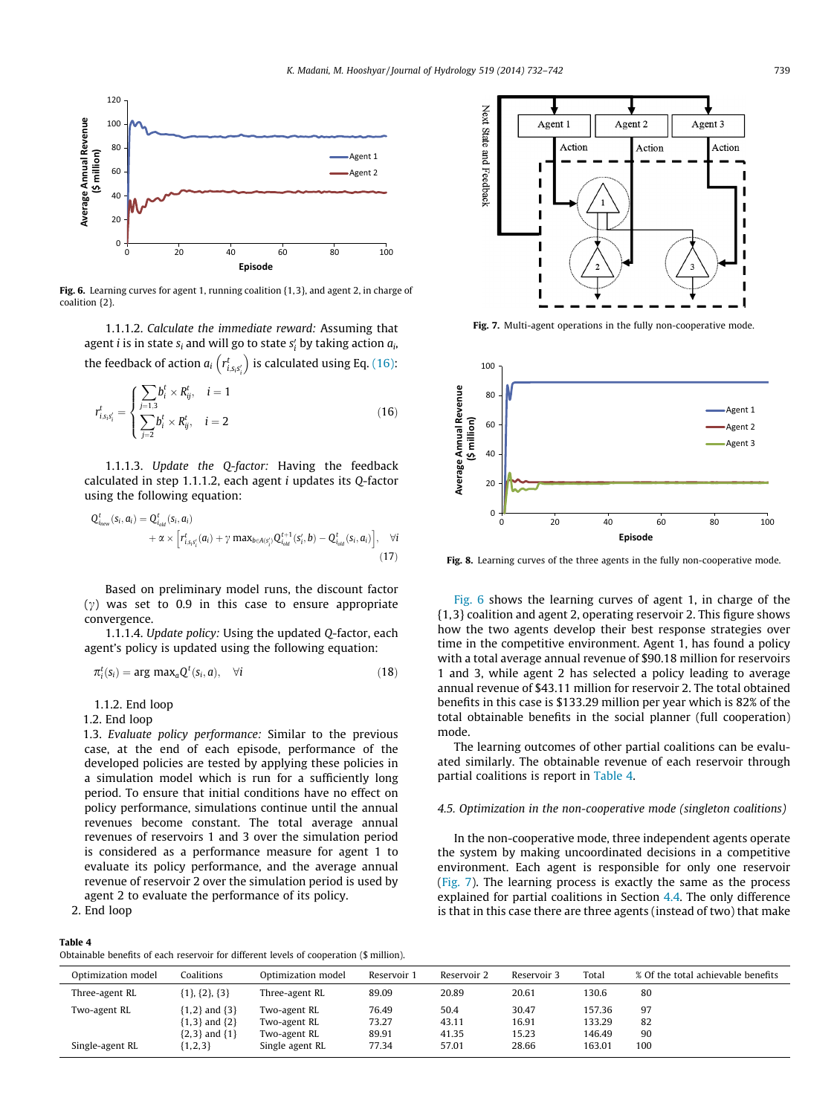<span id="page-7-0"></span>

Fig. 6. Learning curves for agent 1, running coalition {1,3}, and agent 2, in charge of coalition {2}.

1.1.1.2. Calculate the immediate reward: Assuming that agent  $i$  is in state  $s_i$  and will go to state  $s_i^\prime$  by taking action  $a_i$ , the feedback of action  $a_i$   $\left( r_{i,s_is'_i}^t \right)$  is calculated using Eq. (16):

$$
r_{i,s_is'_i}^t = \begin{cases} \sum_{j=1,3} b_i^t \times R_{ij}^t, & i=1\\ \sum_{j=2} b_i^t \times R_{ij}^t, & i=2 \end{cases}
$$
 (16)

1.1.1.3. Update the Q-factor: Having the feedback calculated in step 1.1.1.2, each agent i updates its Q-factor using the following equation:

$$
Q_{inew}^{t}(si, ai) = Q_{iold}^{t}(si, ai)
$$
  
+  $\alpha \times \left[r_{i,sis'i}^{t}(ai) + \gamma \max_{b \in A(s'i)} Q_{iold}^{t+1}(s'i, b) - Q_{iold}^{t}(si, ai)\right],$  (17)

Based on preliminary model runs, the discount factor  $(y)$  was set to 0.9 in this case to ensure appropriate convergence.

1.1.1.4. Update policy: Using the updated Q-factor, each agent's policy is updated using the following equation:

$$
\pi_i^t(s_i) = \arg \max_a Q^t(s_i, a), \quad \forall i \tag{18}
$$

1.1.2. End loop

1.2. End loop

1.3. Evaluate policy performance: Similar to the previous case, at the end of each episode, performance of the developed policies are tested by applying these policies in a simulation model which is run for a sufficiently long period. To ensure that initial conditions have no effect on policy performance, simulations continue until the annual revenues become constant. The total average annual revenues of reservoirs 1 and 3 over the simulation period is considered as a performance measure for agent 1 to evaluate its policy performance, and the average annual revenue of reservoir 2 over the simulation period is used by agent 2 to evaluate the performance of its policy.

2. End loop

#### Table 4

Obtainable benefits of each reservoir for different levels of cooperation (\$ million).



Fig. 7. Multi-agent operations in the fully non-cooperative mode.



Fig. 8. Learning curves of the three agents in the fully non-cooperative mode.

Fig. 6 shows the learning curves of agent 1, in charge of the {1,3} coalition and agent 2, operating reservoir 2. This figure shows how the two agents develop their best response strategies over time in the competitive environment. Agent 1, has found a policy with a total average annual revenue of \$90.18 million for reservoirs 1 and 3, while agent 2 has selected a policy leading to average annual revenue of \$43.11 million for reservoir 2. The total obtained benefits in this case is \$133.29 million per year which is 82% of the total obtainable benefits in the social planner (full cooperation) mode.

The learning outcomes of other partial coalitions can be evaluated similarly. The obtainable revenue of each reservoir through partial coalitions is report in Table 4.

#### 4.5. Optimization in the non-cooperative mode (singleton coalitions)

In the non-cooperative mode, three independent agents operate the system by making uncoordinated decisions in a competitive environment. Each agent is responsible for only one reservoir (Fig. 7). The learning process is exactly the same as the process explained for partial coalitions in Section [4.4.](#page-6-0) The only difference is that in this case there are three agents (instead of two) that make

| Optimization model | Coalitions            | Optimization model | Reservoir | Reservoir 2 | Reservoir 3 | Total  | % Of the total achievable benefits |
|--------------------|-----------------------|--------------------|-----------|-------------|-------------|--------|------------------------------------|
| Three-agent RL     | $\{1\}, \{2\}, \{3\}$ | Three-agent RL     | 89.09     | 20.89       | 20.61       | 130.6  | 80                                 |
| Two-agent RL       | ${1,2}$ and ${3}$     | Two-agent RL       | 76.49     | 50.4        | 30.47       | 157.36 | 97                                 |
|                    | ${1,3}$ and ${2}$     | Two-agent RL       | 73.27     | 43.11       | 16.91       | 133.29 | 82                                 |
|                    | ${2,3}$ and ${1}$     | Two-agent RL       | 89.91     | 41.35       | 15.23       | 146.49 | 90                                 |
| Single-agent RL    | $\{1, 2, 3\}$         | Single agent RL    | 77.34     | 57.01       | 28.66       | 163.01 | 100                                |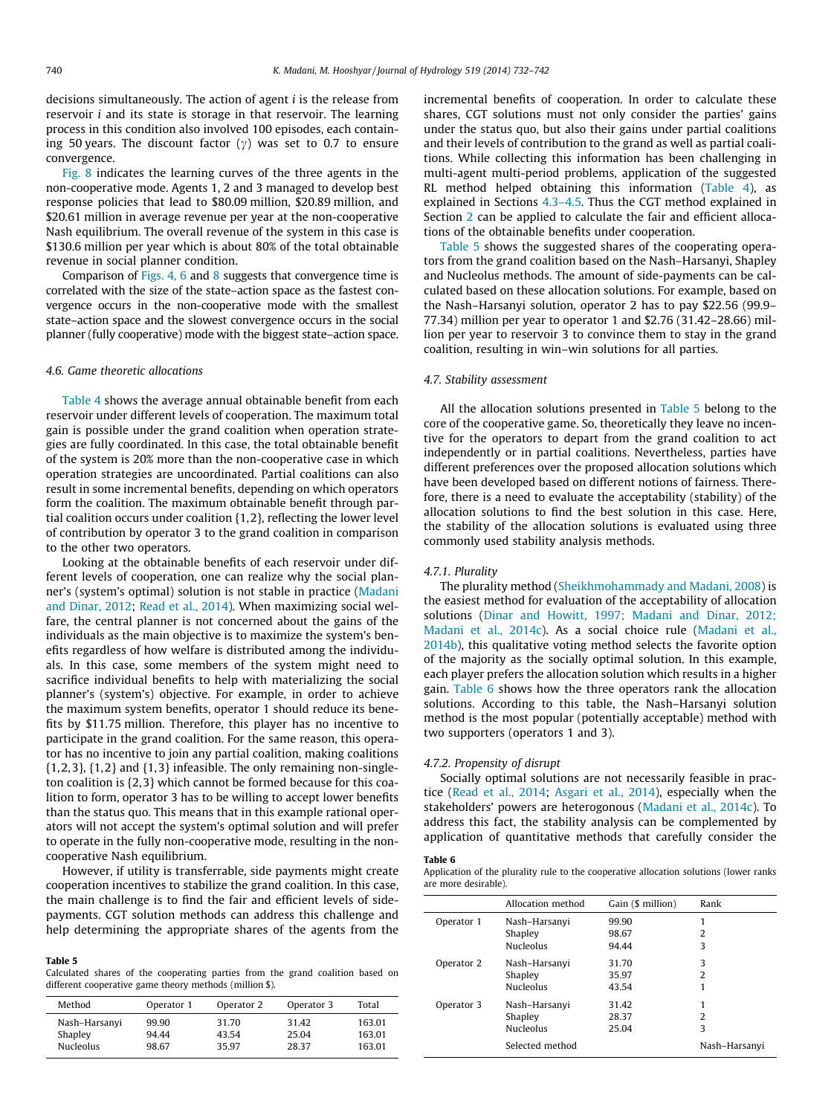<span id="page-8-0"></span>decisions simultaneously. The action of agent i is the release from reservoir i and its state is storage in that reservoir. The learning process in this condition also involved 100 episodes, each containing 50 years. The discount factor  $(y)$  was set to 0.7 to ensure convergence.

[Fig. 8](#page-7-0) indicates the learning curves of the three agents in the non-cooperative mode. Agents 1, 2 and 3 managed to develop best response policies that lead to \$80.09 million, \$20.89 million, and \$20.61 million in average revenue per year at the non-cooperative Nash equilibrium. The overall revenue of the system in this case is \$130.6 million per year which is about 80% of the total obtainable revenue in social planner condition.

Comparison of [Figs. 4, 6](#page-6-0) and [8](#page-7-0) suggests that convergence time is correlated with the size of the state–action space as the fastest convergence occurs in the non-cooperative mode with the smallest state–action space and the slowest convergence occurs in the social planner (fully cooperative) mode with the biggest state–action space.

#### 4.6. Game theoretic allocations

[Table 4](#page-7-0) shows the average annual obtainable benefit from each reservoir under different levels of cooperation. The maximum total gain is possible under the grand coalition when operation strategies are fully coordinated. In this case, the total obtainable benefit of the system is 20% more than the non-cooperative case in which operation strategies are uncoordinated. Partial coalitions can also result in some incremental benefits, depending on which operators form the coalition. The maximum obtainable benefit through partial coalition occurs under coalition {1,2}, reflecting the lower level of contribution by operator 3 to the grand coalition in comparison to the other two operators.

Looking at the obtainable benefits of each reservoir under different levels of cooperation, one can realize why the social planner's (system's optimal) solution is not stable in practice [\(Madani](#page-10-0) [and Dinar, 2012;](#page-10-0) [Read et al., 2014](#page-10-0)). When maximizing social welfare, the central planner is not concerned about the gains of the individuals as the main objective is to maximize the system's benefits regardless of how welfare is distributed among the individuals. In this case, some members of the system might need to sacrifice individual benefits to help with materializing the social planner's (system's) objective. For example, in order to achieve the maximum system benefits, operator 1 should reduce its benefits by \$11.75 million. Therefore, this player has no incentive to participate in the grand coalition. For the same reason, this operator has no incentive to join any partial coalition, making coalitions  $\{1,2,3\}, \{1,2\}$  and  $\{1,3\}$  infeasible. The only remaining non-singleton coalition is {2,3} which cannot be formed because for this coalition to form, operator 3 has to be willing to accept lower benefits than the status quo. This means that in this example rational operators will not accept the system's optimal solution and will prefer to operate in the fully non-cooperative mode, resulting in the noncooperative Nash equilibrium.

However, if utility is transferrable, side payments might create cooperation incentives to stabilize the grand coalition. In this case, the main challenge is to find the fair and efficient levels of sidepayments. CGT solution methods can address this challenge and help determining the appropriate shares of the agents from the

#### Table 5

Calculated shares of the cooperating parties from the grand coalition based on different cooperative game theory methods (million \$).

| 99.90<br>Nash-Harsanyi                                                            | Total<br>Operator 1<br>Operator 2<br>Operator 3 |  |
|-----------------------------------------------------------------------------------|-------------------------------------------------|--|
| 25.04<br>94.44<br>Shapley<br>43.54<br><b>Nucleolus</b><br>98.67<br>35.97<br>28.37 | 31.42<br>31.70<br>163.01<br>163.01<br>163.01    |  |

incremental benefits of cooperation. In order to calculate these shares, CGT solutions must not only consider the parties' gains under the status quo, but also their gains under partial coalitions and their levels of contribution to the grand as well as partial coalitions. While collecting this information has been challenging in multi-agent multi-period problems, application of the suggested RL method helped obtaining this information [\(Table 4\)](#page-7-0), as explained in Sections [4.3–4.5.](#page-5-0) Thus the CGT method explained in Section [2](#page-1-0) can be applied to calculate the fair and efficient allocations of the obtainable benefits under cooperation.

Table 5 shows the suggested shares of the cooperating operators from the grand coalition based on the Nash–Harsanyi, Shapley and Nucleolus methods. The amount of side-payments can be calculated based on these allocation solutions. For example, based on the Nash–Harsanyi solution, operator 2 has to pay \$22.56 (99.9– 77.34) million per year to operator 1 and \$2.76 (31.42–28.66) million per year to reservoir 3 to convince them to stay in the grand coalition, resulting in win–win solutions for all parties.

## 4.7. Stability assessment

All the allocation solutions presented in Table 5 belong to the core of the cooperative game. So, theoretically they leave no incentive for the operators to depart from the grand coalition to act independently or in partial coalitions. Nevertheless, parties have different preferences over the proposed allocation solutions which have been developed based on different notions of fairness. Therefore, there is a need to evaluate the acceptability (stability) of the allocation solutions to find the best solution in this case. Here, the stability of the allocation solutions is evaluated using three commonly used stability analysis methods.

#### 4.7.1. Plurality

The plurality method [\(Sheikhmohammady and Madani, 2008\)](#page-10-0) is the easiest method for evaluation of the acceptability of allocation solutions [\(Dinar and Howitt, 1997; Madani and Dinar, 2012;](#page-10-0) [Madani et al., 2014c\)](#page-10-0). As a social choice rule ([Madani et al.,](#page-10-0) [2014b](#page-10-0)), this qualitative voting method selects the favorite option of the majority as the socially optimal solution. In this example, each player prefers the allocation solution which results in a higher gain. Table 6 shows how the three operators rank the allocation solutions. According to this table, the Nash–Harsanyi solution method is the most popular (potentially acceptable) method with two supporters (operators 1 and 3).

#### 4.7.2. Propensity of disrupt

Socially optimal solutions are not necessarily feasible in practice [\(Read et al., 2014](#page-10-0); [Asgari et al., 2014](#page-10-0)), especially when the stakeholders' powers are heterogonous [\(Madani et al., 2014c\)](#page-10-0). To address this fact, the stability analysis can be complemented by application of quantitative methods that carefully consider the

#### Table 6

Application of the plurality rule to the cooperative allocation solutions (lower ranks are more desirable).

|            | Allocation method | Gain (\$ million) | Rank          |
|------------|-------------------|-------------------|---------------|
| Operator 1 | Nash-Harsanyi     | 99.90             |               |
|            | Shapley           | 98.67             | 2             |
|            | <b>Nucleolus</b>  | 94.44             | 3             |
| Operator 2 | Nash-Harsanyi     | 31.70             | 3             |
|            | Shapley           | 35.97             | 2             |
|            | <b>Nucleolus</b>  | 43.54             |               |
| Operator 3 | Nash-Harsanyi     | 31.42             |               |
|            | Shapley           | 28.37             | 2             |
|            | <b>Nucleolus</b>  | 25.04             | 3             |
|            | Selected method   |                   | Nash-Harsanyi |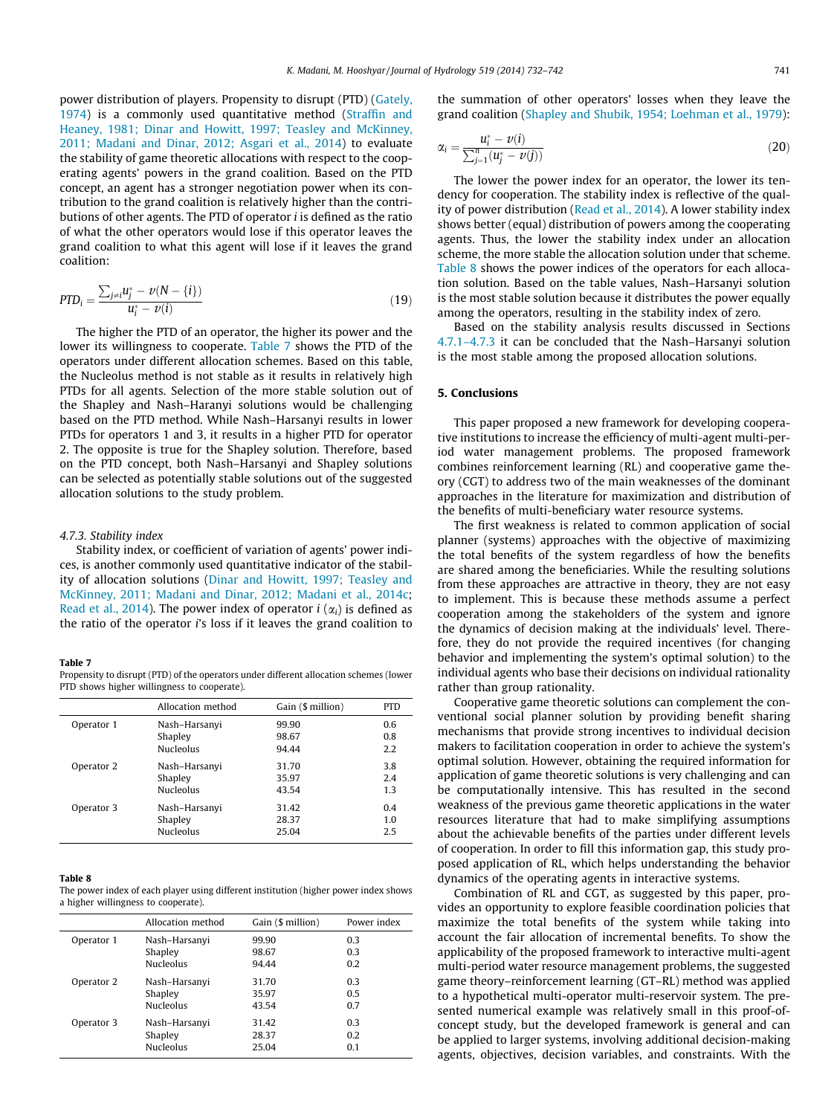power distribution of players. Propensity to disrupt (PTD) [\(Gately,](#page-10-0) [1974\)](#page-10-0) is a commonly used quantitative method ([Straffin and](#page-10-0) [Heaney, 1981; Dinar and Howitt, 1997; Teasley and McKinney,](#page-10-0) [2011; Madani and Dinar, 2012; Asgari et al., 2014](#page-10-0)) to evaluate the stability of game theoretic allocations with respect to the cooperating agents' powers in the grand coalition. Based on the PTD concept, an agent has a stronger negotiation power when its contribution to the grand coalition is relatively higher than the contributions of other agents. The PTD of operator i is defined as the ratio of what the other operators would lose if this operator leaves the grand coalition to what this agent will lose if it leaves the grand coalition:

$$
PTD_i = \frac{\sum_{j \neq i} u_j^* - \nu(N - \{i\})}{u_i^* - \nu(i)}
$$
(19)

The higher the PTD of an operator, the higher its power and the lower its willingness to cooperate. Table 7 shows the PTD of the operators under different allocation schemes. Based on this table, the Nucleolus method is not stable as it results in relatively high PTDs for all agents. Selection of the more stable solution out of the Shapley and Nash–Haranyi solutions would be challenging based on the PTD method. While Nash–Harsanyi results in lower PTDs for operators 1 and 3, it results in a higher PTD for operator 2. The opposite is true for the Shapley solution. Therefore, based on the PTD concept, both Nash–Harsanyi and Shapley solutions can be selected as potentially stable solutions out of the suggested allocation solutions to the study problem.

#### 4.7.3. Stability index

Stability index, or coefficient of variation of agents' power indices, is another commonly used quantitative indicator of the stability of allocation solutions ([Dinar and Howitt, 1997; Teasley and](#page-10-0) [McKinney, 2011; Madani and Dinar, 2012; Madani et al., 2014c;](#page-10-0) [Read et al., 2014\)](#page-10-0). The power index of operator  $i(\alpha_i)$  is defined as the ratio of the operator i's loss if it leaves the grand coalition to

#### Table 7

Propensity to disrupt (PTD) of the operators under different allocation schemes (lower PTD shows higher willingness to cooperate).

|            | Allocation method | Gain (\$ million) | <b>PTD</b> |
|------------|-------------------|-------------------|------------|
| Operator 1 | Nash-Harsanyi     | 99.90             | 0.6        |
|            | Shapley           | 98.67             | 0.8        |
|            | <b>Nucleolus</b>  | 94.44             | 2.2        |
| Operator 2 | Nash-Harsanyi     | 31.70             | 3.8        |
|            | Shapley           | 35.97             | 2.4        |
|            | <b>Nucleolus</b>  | 43.54             | 1.3        |
| Operator 3 | Nash-Harsanyi     | 31.42             | 0.4        |
|            | Shapley           | 28.37             | 1.0        |
|            | <b>Nucleolus</b>  | 25.04             | 2.5        |

#### Table 8

The power index of each player using different institution (higher power index shows a higher willingness to cooperate).

|            | Allocation method | Gain (\$ million) | Power index |
|------------|-------------------|-------------------|-------------|
| Operator 1 | Nash-Harsanyi     | 99.90             | 0.3         |
|            | Shapley           | 98.67             | 0.3         |
|            | <b>Nucleolus</b>  | 94.44             | 0.2         |
| Operator 2 | Nash-Harsanyi     | 31.70             | 0.3         |
|            | Shapley           | 35.97             | 0.5         |
|            | Nucleolus         | 43.54             | 0.7         |
| Operator 3 | Nash-Harsanyi     | 31.42             | 0.3         |
|            | Shapley           | 28.37             | 0.2         |
|            | <b>Nucleolus</b>  | 25.04             | 0.1         |

the summation of other operators' losses when they leave the grand coalition [\(Shapley and Shubik, 1954; Loehman et al., 1979\)](#page-10-0):

$$
\alpha_i = \frac{u_i^* - v(i)}{\sum_{j=1}^n (u_j^* - v(j))}
$$
\n(20)

The lower the power index for an operator, the lower its tendency for cooperation. The stability index is reflective of the quality of power distribution ([Read et al., 2014](#page-10-0)). A lower stability index shows better (equal) distribution of powers among the cooperating agents. Thus, the lower the stability index under an allocation scheme, the more stable the allocation solution under that scheme. Table 8 shows the power indices of the operators for each allocation solution. Based on the table values, Nash–Harsanyi solution is the most stable solution because it distributes the power equally among the operators, resulting in the stability index of zero.

Based on the stability analysis results discussed in Sections [4.7.1–4.7.3](#page-8-0) it can be concluded that the Nash–Harsanyi solution is the most stable among the proposed allocation solutions.

# 5. Conclusions

This paper proposed a new framework for developing cooperative institutions to increase the efficiency of multi-agent multi-period water management problems. The proposed framework combines reinforcement learning (RL) and cooperative game theory (CGT) to address two of the main weaknesses of the dominant approaches in the literature for maximization and distribution of the benefits of multi-beneficiary water resource systems.

The first weakness is related to common application of social planner (systems) approaches with the objective of maximizing the total benefits of the system regardless of how the benefits are shared among the beneficiaries. While the resulting solutions from these approaches are attractive in theory, they are not easy to implement. This is because these methods assume a perfect cooperation among the stakeholders of the system and ignore the dynamics of decision making at the individuals' level. Therefore, they do not provide the required incentives (for changing behavior and implementing the system's optimal solution) to the individual agents who base their decisions on individual rationality rather than group rationality.

Cooperative game theoretic solutions can complement the conventional social planner solution by providing benefit sharing mechanisms that provide strong incentives to individual decision makers to facilitation cooperation in order to achieve the system's optimal solution. However, obtaining the required information for application of game theoretic solutions is very challenging and can be computationally intensive. This has resulted in the second weakness of the previous game theoretic applications in the water resources literature that had to make simplifying assumptions about the achievable benefits of the parties under different levels of cooperation. In order to fill this information gap, this study proposed application of RL, which helps understanding the behavior dynamics of the operating agents in interactive systems.

Combination of RL and CGT, as suggested by this paper, provides an opportunity to explore feasible coordination policies that maximize the total benefits of the system while taking into account the fair allocation of incremental benefits. To show the applicability of the proposed framework to interactive multi-agent multi-period water resource management problems, the suggested game theory–reinforcement learning (GT–RL) method was applied to a hypothetical multi-operator multi-reservoir system. The presented numerical example was relatively small in this proof-ofconcept study, but the developed framework is general and can be applied to larger systems, involving additional decision-making agents, objectives, decision variables, and constraints. With the